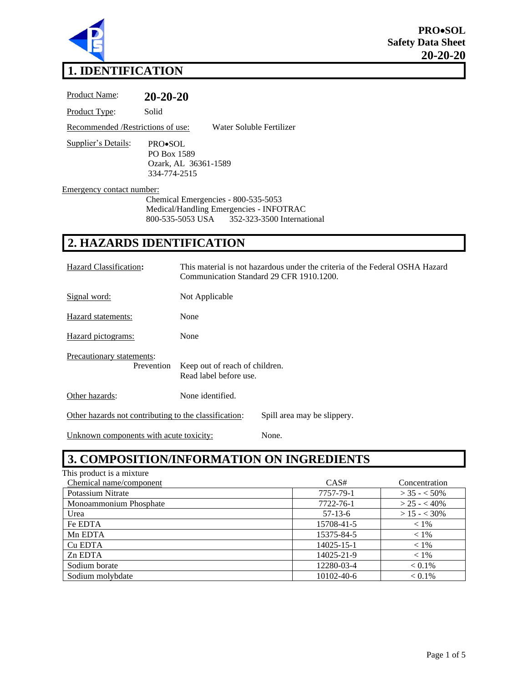

# **1. IDENTIFICATION**

Product Name: **20-20-20** Product Type: Solid Recommended /Restrictions of use: Water Soluble Fertilizer Supplier's Details: PRO•SOL PO Box 1589 Ozark, AL 36361-1589 334-774-2515

Emergency contact number:

Chemical Emergencies - 800-535-5053 Medical/Handling Emergencies - INFOTRAC 800-535-5053 USA 352-323-3500 International

#### **2. HAZARDS IDENTIFICATION**

| Hazard Classification:                                                               | This material is not hazardous under the criteria of the Federal OSHA Hazard<br>Communication Standard 29 CFR 1910.1200. |  |  |
|--------------------------------------------------------------------------------------|--------------------------------------------------------------------------------------------------------------------------|--|--|
| Signal word:                                                                         | Not Applicable                                                                                                           |  |  |
| Hazard statements:                                                                   | None                                                                                                                     |  |  |
| Hazard pictograms:                                                                   | None                                                                                                                     |  |  |
| Precautionary statements:<br>Prevention                                              | Keep out of reach of children.<br>Read label before use.                                                                 |  |  |
| Other hazards:                                                                       | None identified.                                                                                                         |  |  |
| Other hazards not contributing to the classification:<br>Spill area may be slippery. |                                                                                                                          |  |  |

Unknown components with acute toxicity: None.

## **3. COMPOSITION/INFORMATION ON INGREDIENTS**

| This product is a mixture |            |                  |
|---------------------------|------------|------------------|
| Chemical name/component   | CAS#       | Concentration    |
| Potassium Nitrate         | 7757-79-1  | $>$ 35 - $<$ 50% |
| Monoammonium Phosphate    | 7722-76-1  | $> 25 - < 40\%$  |
| Urea                      | $57-13-6$  | $>15 - 30%$      |
| Fe EDTA                   | 15708-41-5 | $< 1\%$          |
| Mn EDTA                   | 15375-84-5 | $< 1\%$          |
| Cu EDTA                   | 14025-15-1 | $< 1\%$          |
| Zn EDTA                   | 14025-21-9 | $< 1\%$          |
| Sodium borate             | 12280-03-4 | $< 0.1\%$        |
| Sodium molybdate          | 10102-40-6 | $< 0.1\%$        |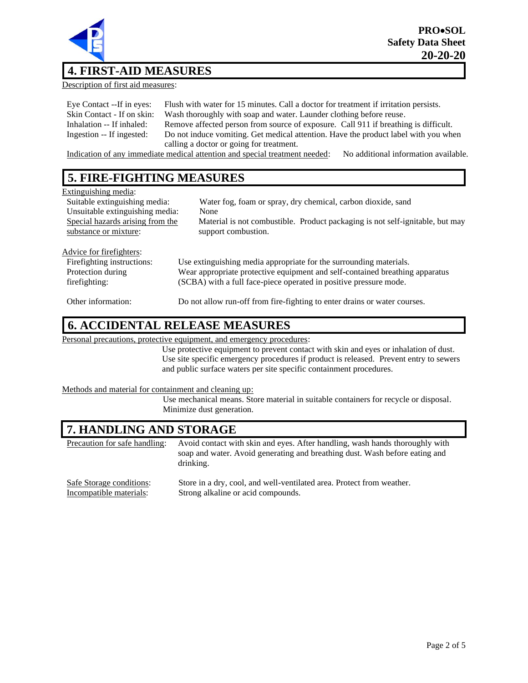

## **4. FIRST-AID MEASURES**

Description of first aid measures:

| Eye Contact --If in eyes:  | Flush with water for 15 minutes. Call a doctor for treatment if irritation persists. |
|----------------------------|--------------------------------------------------------------------------------------|
| Skin Contact - If on skin: | Wash thoroughly with soap and water. Launder clothing before reuse.                  |
| Inhalation -- If inhaled:  | Remove affected person from source of exposure. Call 911 if breathing is difficult.  |
| Ingestion -- If ingested:  | Do not induce vomiting. Get medical attention. Have the product label with you when  |
|                            | calling a doctor or going for treatment.                                             |

Indication of any immediate medical attention and special treatment needed: No additional information available.

#### **5. FIRE-FIGHTING MEASURES**

| Extinguishing media:             |                                                                               |  |
|----------------------------------|-------------------------------------------------------------------------------|--|
| Suitable extinguishing media:    | Water fog, foam or spray, dry chemical, carbon dioxide, sand                  |  |
| Unsuitable extinguishing media:  | None                                                                          |  |
| Special hazards arising from the | Material is not combustible. Product packaging is not self-ignitable, but may |  |
| substance or mixture:            | support combustion.                                                           |  |
|                                  |                                                                               |  |
| Advice for firefighters:         |                                                                               |  |
| Firefighting instructions:       | Use extinguishing media appropriate for the surrounding materials.            |  |
| Protection during                | Wear appropriate protective equipment and self-contained breathing apparatus  |  |
| firefighting:                    | (SCBA) with a full face-piece operated in positive pressure mode.             |  |
|                                  |                                                                               |  |
| Other information:               | Do not allow run-off from fire-fighting to enter drains or water courses.     |  |

#### **6. ACCIDENTAL RELEASE MEASURES**

Personal precautions, protective equipment, and emergency procedures:

Use protective equipment to prevent contact with skin and eyes or inhalation of dust. Use site specific emergency procedures if product is released. Prevent entry to sewers and public surface waters per site specific containment procedures.

#### Methods and material for containment and cleaning up:

Use mechanical means. Store material in suitable containers for recycle or disposal. Minimize dust generation.

#### **7. HANDLING AND STORAGE**

| Precaution for safe handling: | Avoid contact with skin and eyes. After handling, wash hands thoroughly with<br>soap and water. Avoid generating and breathing dust. Wash before eating and<br>drinking. |
|-------------------------------|--------------------------------------------------------------------------------------------------------------------------------------------------------------------------|
| Safe Storage conditions:      | Store in a dry, cool, and well-ventilated area. Protect from weather.                                                                                                    |
| Incompatible materials:       | Strong alkaline or acid compounds.                                                                                                                                       |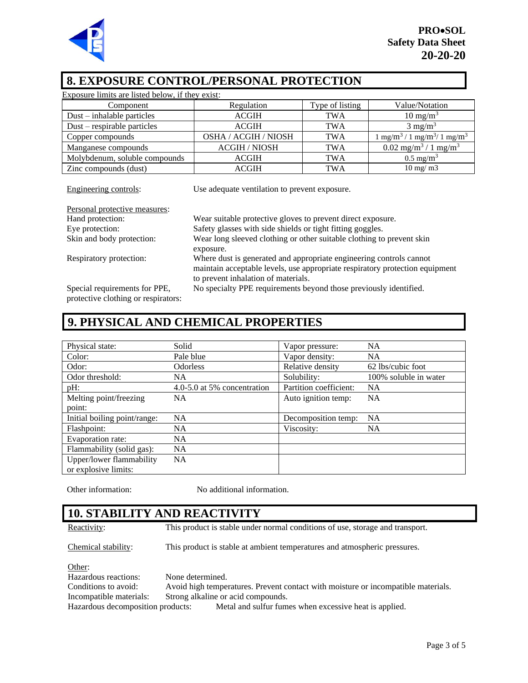

#### **8. EXPOSURE CONTROL/PERSONAL PROTECTION**

| Exposure limits are listed below, if they exist:                       |                      |                 |                                                          |
|------------------------------------------------------------------------|----------------------|-----------------|----------------------------------------------------------|
| Component                                                              | Regulation           | Type of listing | Value/Notation                                           |
| Dust – inhalable particles                                             | <b>ACGIH</b>         | <b>TWA</b>      | $10 \text{ mg/m}^3$                                      |
| $Dust$ – respirable particles                                          | <b>ACGIH</b>         | <b>TWA</b>      | $3 \text{ mg/m}^3$                                       |
| Copper compounds                                                       | OSHA / ACGIH / NIOSH | <b>TWA</b>      | $1 \text{ mg/m}^3 / 1 \text{ mg/m}^3 / 1 \text{ mg/m}^3$ |
| Manganese compounds                                                    | <b>ACGIH / NIOSH</b> | <b>TWA</b>      | $0.02$ mg/m <sup>3</sup> / 1 mg/m <sup>3</sup>           |
| Molybdenum, soluble compounds                                          | <b>ACGIH</b>         | <b>TWA</b>      | $0.5 \text{ mg/m}^3$                                     |
| Zinc compounds (dust)                                                  | <b>ACGIH</b>         | <b>TWA</b>      | $10 \text{ mg}/\text{m}$                                 |
|                                                                        |                      |                 |                                                          |
| Engineering controls:<br>Use adequate ventilation to prevent exposure. |                      |                 |                                                          |

| Personal protective measures: |                                                                                                                                                                                            |
|-------------------------------|--------------------------------------------------------------------------------------------------------------------------------------------------------------------------------------------|
| Hand protection:              | Wear suitable protective gloves to prevent direct exposure.                                                                                                                                |
| Eye protection:               | Safety glasses with side shields or tight fitting goggles.                                                                                                                                 |
| Skin and body protection:     | Wear long sleeved clothing or other suitable clothing to prevent skin                                                                                                                      |
|                               | exposure.                                                                                                                                                                                  |
| Respiratory protection:       | Where dust is generated and appropriate engineering controls cannot<br>maintain acceptable levels, use appropriate respiratory protection equipment<br>to prevent inhalation of materials. |
| Special requirements for PPE, | No specialty PPE requirements beyond those previously identified.                                                                                                                          |

protective clothing or respirators:

## **9. PHYSICAL AND CHEMICAL PROPERTIES**

| Physical state:                                  | Solid                       | Vapor pressure:        | <b>NA</b>             |
|--------------------------------------------------|-----------------------------|------------------------|-----------------------|
| Color:                                           | Pale blue                   | Vapor density:         | <b>NA</b>             |
| Odor:                                            | <b>Odorless</b>             | Relative density       | 62 lbs/cubic foot     |
| Odor threshold:                                  | NA                          | Solubility:            | 100% soluble in water |
| $pH$ :                                           | 4.0-5.0 at 5% concentration | Partition coefficient: | <b>NA</b>             |
| Melting point/freezing                           | <b>NA</b>                   | Auto ignition temp:    | <b>NA</b>             |
| point:                                           |                             |                        |                       |
| Initial boiling point/range:                     | <b>NA</b>                   | Decomposition temp:    | <b>NA</b>             |
| Flashpoint:                                      | <b>NA</b>                   | Viscosity:             | NA.                   |
| Evaporation rate:                                | NA.                         |                        |                       |
| Flammability (solid gas):                        | <b>NA</b>                   |                        |                       |
| Upper/lower flammability<br>or explosive limits: | <b>NA</b>                   |                        |                       |

Other information: No additional information.

## **10. STABILITY AND REACTIVITY**

Reactivity: This product is stable under normal conditions of use, storage and transport.

Chemical stability: This product is stable at ambient temperatures and atmospheric pressures.

#### Other:

Hazardous reactions: None determined. Conditions to avoid: Avoid high temperatures. Prevent contact with moisture or incompatible materials. Incompatible materials: Strong alkaline or acid compounds. Hazardous decomposition products: Metal and sulfur fumes when excessive heat is applied.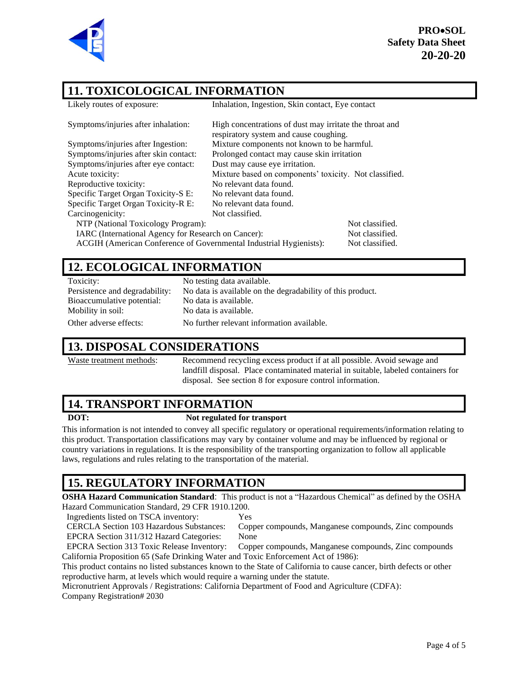

**PRO**•**SOL Safety Data Sheet 20-20-20**

## **11. TOXICOLOGICAL INFORMATION**

| 11. TOXICOLOGICAL INFORMATION                                      |                                                                                                   |                 |  |  |
|--------------------------------------------------------------------|---------------------------------------------------------------------------------------------------|-----------------|--|--|
| Likely routes of exposure:                                         | Inhalation, Ingestion, Skin contact, Eye contact                                                  |                 |  |  |
| Symptoms/injuries after inhalation:                                | High concentrations of dust may irritate the throat and<br>respiratory system and cause coughing. |                 |  |  |
| Symptoms/injuries after Ingestion:                                 | Mixture components not known to be harmful.                                                       |                 |  |  |
| Symptoms/injuries after skin contact:                              | Prolonged contact may cause skin irritation                                                       |                 |  |  |
| Symptoms/injuries after eye contact:                               | Dust may cause eye irritation.                                                                    |                 |  |  |
| Acute toxicity:                                                    | Mixture based on components' toxicity. Not classified.                                            |                 |  |  |
| Reproductive toxicity:                                             | No relevant data found.                                                                           |                 |  |  |
| Specific Target Organ Toxicity-S E:                                | No relevant data found.                                                                           |                 |  |  |
| Specific Target Organ Toxicity-R E:                                | No relevant data found.                                                                           |                 |  |  |
| Carcinogenicity:                                                   | Not classified.                                                                                   |                 |  |  |
| NTP (National Toxicology Program):                                 |                                                                                                   | Not classified. |  |  |
| IARC (International Agency for Research on Cancer):                |                                                                                                   | Not classified. |  |  |
| ACGIH (American Conference of Governmental Industrial Hygienists): |                                                                                                   | Not classified. |  |  |
|                                                                    |                                                                                                   |                 |  |  |

#### **12. ECOLOGICAL INFORMATION**

Toxicity: No testing data available. Bioaccumulative potential: No data is available. Mobility in soil: No data is available.

Persistence and degradability: No data is available on the degradability of this product. Other adverse effects: No further relevant information available.

#### **13. DISPOSAL CONSIDERATIONS**

Waste treatment methods: Recommend recycling excess product if at all possible. Avoid sewage and landfill disposal. Place contaminated material in suitable, labeled containers for disposal. See section 8 for exposure control information.

#### **14. TRANSPORT INFORMATION**

#### **DOT: Not regulated for transport**

This information is not intended to convey all specific regulatory or operational requirements/information relating to this product. Transportation classifications may vary by container volume and may be influenced by regional or country variations in regulations. It is the responsibility of the transporting organization to follow all applicable laws, regulations and rules relating to the transportation of the material.

# **15. REGULATORY INFORMATION**

**OSHA Hazard Communication Standard**: This product is not a "Hazardous Chemical" as defined by the OSHA Hazard Communication Standard, 29 CFR 1910.1200.

Ingredients listed on TSCA inventory: Yes

CERCLA Section 103 Hazardous Substances: Copper compounds, Manganese compounds, Zinc compounds EPCRA Section 311/312 Hazard Categories: None

EPCRA Section 313 Toxic Release Inventory: Copper compounds, Manganese compounds, Zinc compounds California Proposition 65 (Safe Drinking Water and Toxic Enforcement Act of 1986):

This product contains no listed substances known to the State of California to cause cancer, birth defects or other reproductive harm, at levels which would require a warning under the statute.

Micronutrient Approvals / Registrations: California Department of Food and Agriculture (CDFA): Company Registration# 2030